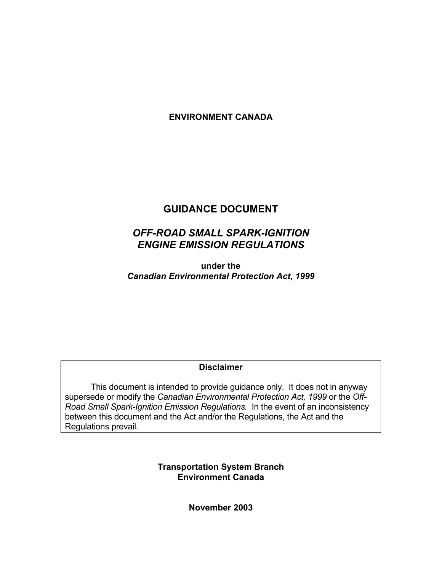## **ENVIRONMENT CANADA**

## **GUIDANCE DOCUMENT**

## *OFF-ROAD SMALL SPARK-IGNITION ENGINE EMISSION REGULATIONS*

**under the**  *Canadian Environmental Protection Act, 1999*

#### **Disclaimer**

This document is intended to provide guidance only. It does not in anyway supersede or modify the *Canadian Environmental Protection Act, 1999* or the *Off-Road Small Spark-Ignition Emission Regulations.* In the event of an inconsistency between this document and the Act and/or the Regulations, the Act and the Regulations prevail.

> **Transportation System Branch Environment Canada**

> > **November 2003**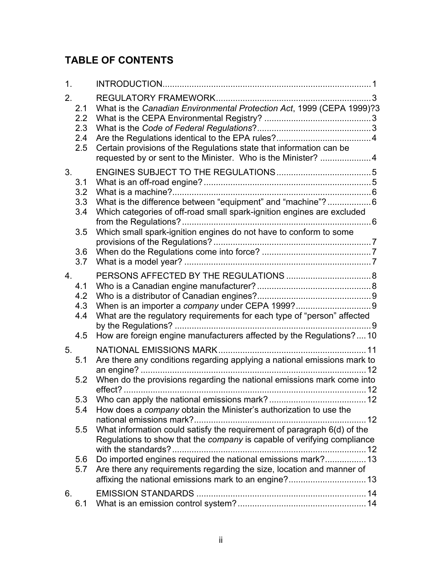# **TABLE OF CONTENTS**

| 1 <sub>1</sub> |                                        |                                                                                                                                                                                                                                                                                                                                                                                                                                                                                                                                                                                                                         |  |
|----------------|----------------------------------------|-------------------------------------------------------------------------------------------------------------------------------------------------------------------------------------------------------------------------------------------------------------------------------------------------------------------------------------------------------------------------------------------------------------------------------------------------------------------------------------------------------------------------------------------------------------------------------------------------------------------------|--|
| 2.             | 2.1<br>2.2<br>2.3<br>2.4<br>2.5        | What is the Canadian Environmental Protection Act, 1999 (CEPA 1999)?3<br>Certain provisions of the Regulations state that information can be<br>requested by or sent to the Minister. Who is the Minister? 4                                                                                                                                                                                                                                                                                                                                                                                                            |  |
| 3.             | 3.1<br>3.2<br>3.3<br>3.4<br>3.5<br>3.6 | What is the difference between "equipment" and "machine"? 6<br>Which categories of off-road small spark-ignition engines are excluded<br>Which small spark-ignition engines do not have to conform to some                                                                                                                                                                                                                                                                                                                                                                                                              |  |
| 4.             | 3.7<br>4.1<br>4.2<br>4.3<br>4.4<br>4.5 | What are the regulatory requirements for each type of "person" affected<br>. 9<br>How are foreign engine manufacturers affected by the Regulations?10                                                                                                                                                                                                                                                                                                                                                                                                                                                                   |  |
| 5.             | 5.1<br>5.2<br>5.4<br>5.5<br>5.6<br>5.7 | NATIONAL EMISSIONS MARK.<br>Are there any conditions regarding applying a national emissions mark to<br>When do the provisions regarding the national emissions mark come into<br>12<br>5.3 Who can apply the national emissions mark?<br>12<br>How does a <i>company</i> obtain the Minister's authorization to use the<br>What information could satisfy the requirement of paragraph 6(d) of the<br>Regulations to show that the company is capable of verifying compliance<br>Do imported engines required the national emissions mark? 13<br>Are there any requirements regarding the size, location and manner of |  |
| 6.             | 6.1                                    |                                                                                                                                                                                                                                                                                                                                                                                                                                                                                                                                                                                                                         |  |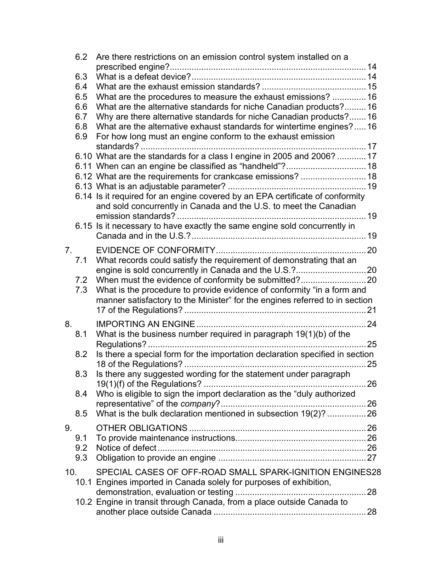|                 | 6.2 | Are there restrictions on an emission control system installed on a           |      |
|-----------------|-----|-------------------------------------------------------------------------------|------|
|                 |     |                                                                               |      |
|                 | 6.3 |                                                                               |      |
|                 | 6.4 |                                                                               |      |
|                 | 6.5 | What are the procedures to measure the exhaust emissions?  16                 |      |
|                 | 6.6 | What are the alternative standards for niche Canadian products?16             |      |
|                 | 6.7 | Why are there alternative standards for niche Canadian products?16            |      |
|                 | 6.8 | What are the alternative exhaust standards for wintertime engines?16          |      |
|                 | 6.9 | For how long must an engine conform to the exhaust emission                   |      |
|                 |     |                                                                               |      |
|                 |     | 6.10 What are the standards for a class I engine in 2005 and 2006?  17        |      |
|                 |     |                                                                               |      |
|                 |     | 6.12 What are the requirements for crankcase emissions?  18                   |      |
|                 |     |                                                                               |      |
|                 |     | 6.14 Is it required for an engine covered by an EPA certificate of conformity |      |
|                 |     | and sold concurrently in Canada and the U.S. to meet the Canadian             |      |
|                 |     |                                                                               |      |
|                 |     | 6.15 Is it necessary to have exactly the same engine sold concurrently in     |      |
|                 |     |                                                                               |      |
| 7.              |     |                                                                               |      |
|                 | 7.1 | What records could satisfy the requirement of demonstrating that an           |      |
|                 |     |                                                                               |      |
|                 | 7.2 |                                                                               |      |
|                 | 7.3 | What is the procedure to provide evidence of conformity "in a form and        |      |
|                 |     | manner satisfactory to the Minister" for the engines referred to in section   |      |
|                 |     |                                                                               |      |
|                 |     |                                                                               |      |
| 8.              |     | . 24                                                                          |      |
|                 | 8.1 | What is the business number required in paragraph $19(1)(b)$ of the           |      |
|                 |     |                                                                               | . 25 |
|                 | 8.2 | Is there a special form for the importation declaration specified in section  |      |
|                 |     |                                                                               | 25   |
|                 | 8.3 | Is there any suggested wording for the statement under paragraph              |      |
|                 |     |                                                                               |      |
|                 | 8.4 | Who is eligible to sign the import declaration as the "duly authorized        |      |
|                 |     | What is the bulk declaration mentioned in subsection 19(2)?  26               |      |
|                 | 8.5 |                                                                               |      |
| 9.              |     |                                                                               |      |
|                 | 9.1 |                                                                               |      |
|                 | 9.2 |                                                                               |      |
|                 | 9.3 |                                                                               |      |
| 10 <sub>1</sub> |     | SPECIAL CASES OF OFF-ROAD SMALL SPARK-IGNITION ENGINES28                      |      |
|                 |     | 10.1 Engines imported in Canada solely for purposes of exhibition,            |      |
|                 |     |                                                                               |      |
|                 |     | 10.2 Engine in transit through Canada, from a place outside Canada to         |      |
|                 |     |                                                                               |      |
|                 |     |                                                                               |      |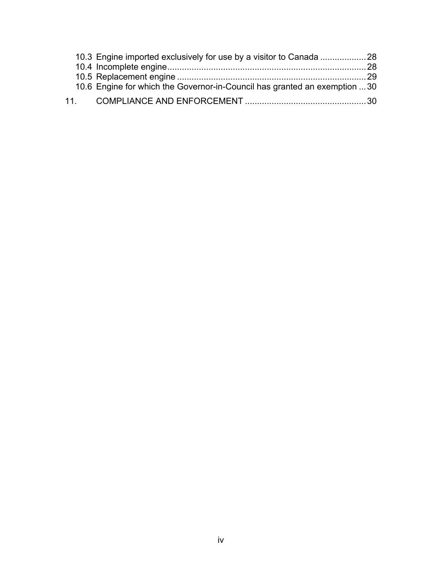| 10.6 Engine for which the Governor-in-Council has granted an exemption 30 |  |
|---------------------------------------------------------------------------|--|
|                                                                           |  |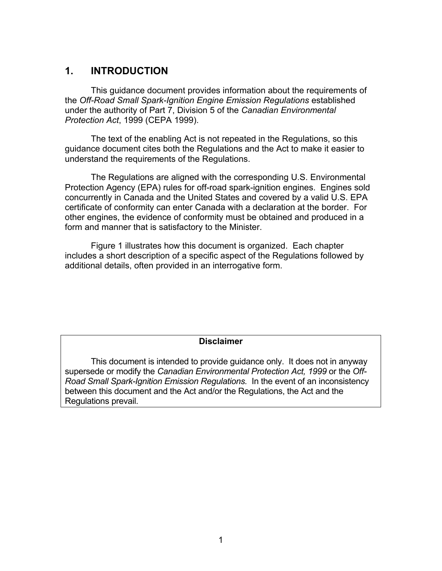## **1. INTRODUCTION**

This guidance document provides information about the requirements of the *Off-Road Small Spark-Ignition Engine Emission Regulations* established under the authority of Part 7, Division 5 of the *Canadian Environmental Protection Act*, 1999 (CEPA 1999).

The text of the enabling Act is not repeated in the Regulations, so this guidance document cites both the Regulations and the Act to make it easier to understand the requirements of the Regulations.

The Regulations are aligned with the corresponding U.S. Environmental Protection Agency (EPA) rules for off-road spark-ignition engines. Engines sold concurrently in Canada and the United States and covered by a valid U.S. EPA certificate of conformity can enter Canada with a declaration at the border. For other engines, the evidence of conformity must be obtained and produced in a form and manner that is satisfactory to the Minister.

Figure 1 illustrates how this document is organized. Each chapter includes a short description of a specific aspect of the Regulations followed by additional details, often provided in an interrogative form.

#### **Disclaimer**

This document is intended to provide guidance only. It does not in anyway supersede or modify the *Canadian Environmental Protection Act, 1999* or the *Off-Road Small Spark-Ignition Emission Regulations.* In the event of an inconsistency between this document and the Act and/or the Regulations, the Act and the Regulations prevail.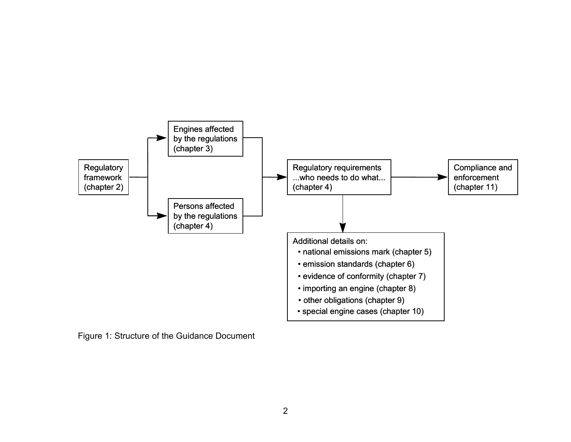

Figure 1: Structure of the Guidance Document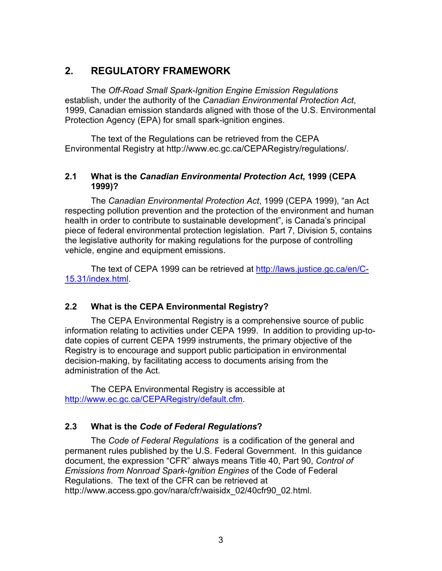## **2. REGULATORY FRAMEWORK**

The *Off-Road Small Spark-Ignition Engine Emission Regulations* establish, under the authority of the *Canadian Environmental Protection Act*, 1999, Canadian emission standards aligned with those of the U.S. Environmental Protection Agency (EPA) for small spark-ignition engines.

The text of the Regulations can be retrieved from the CEPA Environmental Registry at http://www.ec.gc.ca/CEPARegistry/regulations/.

## **2.1 What is the** *Canadian Environmental Protection Act***, 1999 (CEPA 1999)?**

The *Canadian Environmental Protection Act*, 1999 (CEPA 1999), "an Act respecting pollution prevention and the protection of the environment and human health in order to contribute to sustainable development", is Canada's principal piece of federal environmental protection legislation. Part 7, Division 5, contains the legislative authority for making regulations for the purpose of controlling vehicle, engine and equipment emissions.

The text of CEPA 1999 can be retrieved at http://laws.justice.gc.ca/en/C-15.31/index.html.

## **2.2 What is the CEPA Environmental Registry?**

The CEPA Environmental Registry is a comprehensive source of public information relating to activities under CEPA 1999. In addition to providing up-todate copies of current CEPA 1999 instruments, the primary objective of the Registry is to encourage and support public participation in environmental decision-making, by facilitating access to documents arising from the administration of the Act.

The CEPA Environmental Registry is accessible at http://www.ec.gc.ca/CEPARegistry/default.cfm.

## **2.3 What is the** *Code of Federal Regulations***?**

The *Code of Federal Regulations* is a codification of the general and permanent rules published by the U.S. Federal Government. In this guidance document, the expression "CFR" always means Title 40, Part 90, *Control of Emissions from Nonroad Spark-Ignition Engines* of the Code of Federal Regulations. The text of the CFR can be retrieved at http://www.access.gpo.gov/nara/cfr/waisidx\_02/40cfr90\_02.html.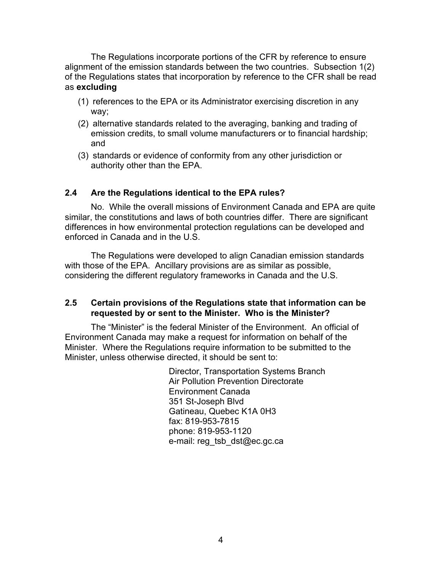The Regulations incorporate portions of the CFR by reference to ensure alignment of the emission standards between the two countries. Subsection 1(2) of the Regulations states that incorporation by reference to the CFR shall be read as **excluding**

- (1) references to the EPA or its Administrator exercising discretion in any way;
- (2) alternative standards related to the averaging, banking and trading of emission credits, to small volume manufacturers or to financial hardship; and
- (3) standards or evidence of conformity from any other jurisdiction or authority other than the EPA.

## **2.4 Are the Regulations identical to the EPA rules?**

No. While the overall missions of Environment Canada and EPA are quite similar, the constitutions and laws of both countries differ. There are significant differences in how environmental protection regulations can be developed and enforced in Canada and in the U.S.

The Regulations were developed to align Canadian emission standards with those of the EPA. Ancillary provisions are as similar as possible, considering the different regulatory frameworks in Canada and the U.S.

## **2.5 Certain provisions of the Regulations state that information can be requested by or sent to the Minister. Who is the Minister?**

The "Minister" is the federal Minister of the Environment. An official of Environment Canada may make a request for information on behalf of the Minister. Where the Regulations require information to be submitted to the Minister, unless otherwise directed, it should be sent to:

> Director, Transportation Systems Branch Air Pollution Prevention Directorate Environment Canada 351 St-Joseph Blvd Gatineau, Quebec K1A 0H3 fax: 819-953-7815 phone: 819-953-1120 e-mail: reg\_tsb\_dst@ec.gc.ca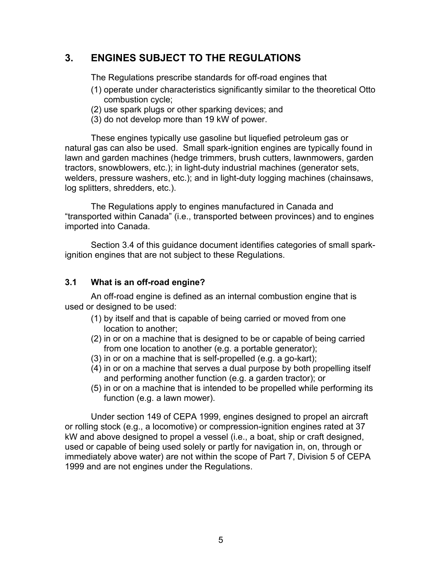## **3. ENGINES SUBJECT TO THE REGULATIONS**

The Regulations prescribe standards for off-road engines that

- (1) operate under characteristics significantly similar to the theoretical Otto combustion cycle;
- (2) use spark plugs or other sparking devices; and
- (3) do not develop more than 19 kW of power.

These engines typically use gasoline but liquefied petroleum gas or natural gas can also be used. Small spark-ignition engines are typically found in lawn and garden machines (hedge trimmers, brush cutters, lawnmowers, garden tractors, snowblowers, etc.); in light-duty industrial machines (generator sets, welders, pressure washers, etc.); and in light-duty logging machines (chainsaws, log splitters, shredders, etc.).

The Regulations apply to engines manufactured in Canada and "transported within Canada" (i.e., transported between provinces) and to engines imported into Canada.

Section 3.4 of this guidance document identifies categories of small sparkignition engines that are not subject to these Regulations.

#### **3.1 What is an off-road engine?**

An off-road engine is defined as an internal combustion engine that is used or designed to be used:

- (1) by itself and that is capable of being carried or moved from one location to another;
- (2) in or on a machine that is designed to be or capable of being carried from one location to another (e.g. a portable generator);
- (3) in or on a machine that is self-propelled (e.g. a go-kart);
- (4) in or on a machine that serves a dual purpose by both propelling itself and performing another function (e.g. a garden tractor); or
- (5) in or on a machine that is intended to be propelled while performing its function (e.g. a lawn mower).

Under section 149 of CEPA 1999, engines designed to propel an aircraft or rolling stock (e.g., a locomotive) or compression-ignition engines rated at 37 kW and above designed to propel a vessel (i.e., a boat, ship or craft designed, used or capable of being used solely or partly for navigation in, on, through or immediately above water) are not within the scope of Part 7, Division 5 of CEPA 1999 and are not engines under the Regulations.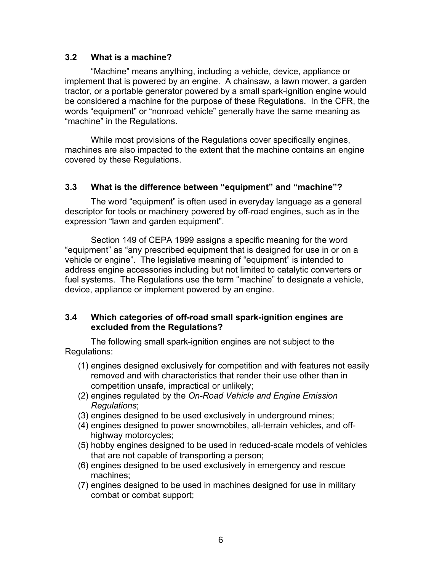#### **3.2 What is a machine?**

"Machine" means anything, including a vehicle, device, appliance or implement that is powered by an engine. A chainsaw, a lawn mower, a garden tractor, or a portable generator powered by a small spark-ignition engine would be considered a machine for the purpose of these Regulations. In the CFR, the words "equipment" or "nonroad vehicle" generally have the same meaning as "machine" in the Regulations.

While most provisions of the Regulations cover specifically engines, machines are also impacted to the extent that the machine contains an engine covered by these Regulations.

## **3.3 What is the difference between "equipment" and "machine"?**

The word "equipment" is often used in everyday language as a general descriptor for tools or machinery powered by off-road engines, such as in the expression "lawn and garden equipment".

Section 149 of CEPA 1999 assigns a specific meaning for the word "equipment" as "any prescribed equipment that is designed for use in or on a vehicle or engine". The legislative meaning of "equipment" is intended to address engine accessories including but not limited to catalytic converters or fuel systems. The Regulations use the term "machine" to designate a vehicle, device, appliance or implement powered by an engine.

## **3.4 Which categories of off-road small spark-ignition engines are excluded from the Regulations?**

The following small spark-ignition engines are not subject to the Regulations:

- (1) engines designed exclusively for competition and with features not easily removed and with characteristics that render their use other than in competition unsafe, impractical or unlikely;
- (2) engines regulated by the *On-Road Vehicle and Engine Emission Regulations*;
- (3) engines designed to be used exclusively in underground mines;
- (4) engines designed to power snowmobiles, all-terrain vehicles, and offhighway motorcycles;
- (5) hobby engines designed to be used in reduced-scale models of vehicles that are not capable of transporting a person;
- (6) engines designed to be used exclusively in emergency and rescue machines;
- (7) engines designed to be used in machines designed for use in military combat or combat support;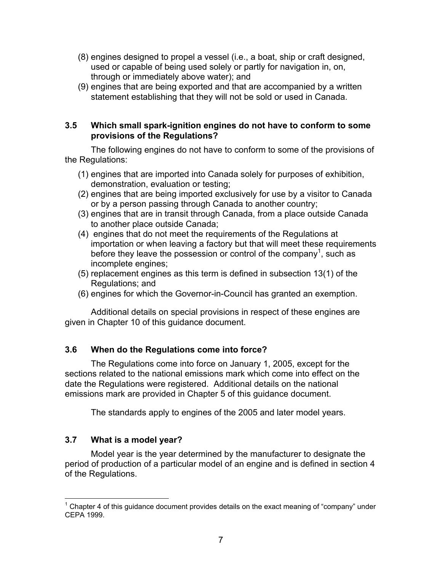- (8) engines designed to propel a vessel (i.e., a boat, ship or craft designed, used or capable of being used solely or partly for navigation in, on, through or immediately above water); and
- (9) engines that are being exported and that are accompanied by a written statement establishing that they will not be sold or used in Canada.

## **3.5 Which small spark-ignition engines do not have to conform to some provisions of the Regulations?**

The following engines do not have to conform to some of the provisions of the Regulations:

- (1) engines that are imported into Canada solely for purposes of exhibition, demonstration, evaluation or testing;
- (2) engines that are being imported exclusively for use by a visitor to Canada or by a person passing through Canada to another country;
- (3) engines that are in transit through Canada, from a place outside Canada to another place outside Canada;
- (4) engines that do not meet the requirements of the Regulations at importation or when leaving a factory but that will meet these requirements before they leave the possession or control of the company<sup>1</sup>, such as incomplete engines;
- (5) replacement engines as this term is defined in subsection 13(1) of the Regulations; and
- (6) engines for which the Governor-in-Council has granted an exemption.

Additional details on special provisions in respect of these engines are given in Chapter 10 of this guidance document.

## **3.6 When do the Regulations come into force?**

The Regulations come into force on January 1, 2005, except for the sections related to the national emissions mark which come into effect on the date the Regulations were registered. Additional details on the national emissions mark are provided in Chapter 5 of this guidance document.

The standards apply to engines of the 2005 and later model years.

## **3.7 What is a model year?**

Model year is the year determined by the manufacturer to designate the period of production of a particular model of an engine and is defined in section 4 of the Regulations.

 $\overline{a}$ 1 Chapter 4 of this guidance document provides details on the exact meaning of "company" under CEPA 1999.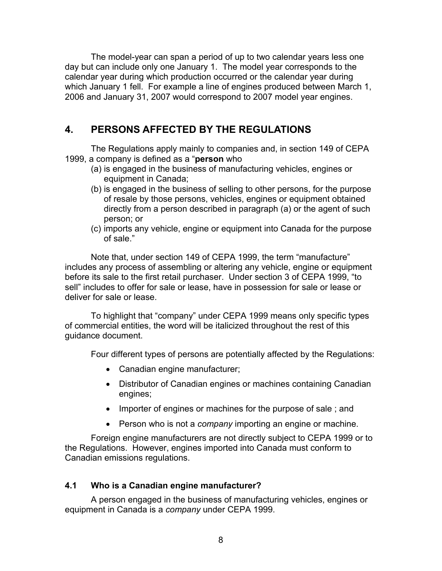The model-year can span a period of up to two calendar years less one day but can include only one January 1. The model year corresponds to the calendar year during which production occurred or the calendar year during which January 1 fell. For example a line of engines produced between March 1, 2006 and January 31, 2007 would correspond to 2007 model year engines.

## **4. PERSONS AFFECTED BY THE REGULATIONS**

The Regulations apply mainly to companies and, in section 149 of CEPA 1999, a company is defined as a "**person** who

- (a) is engaged in the business of manufacturing vehicles, engines or equipment in Canada;
- (b) is engaged in the business of selling to other persons, for the purpose of resale by those persons, vehicles, engines or equipment obtained directly from a person described in paragraph (a) or the agent of such person; or
- (c) imports any vehicle, engine or equipment into Canada for the purpose of sale."

Note that, under section 149 of CEPA 1999, the term "manufacture" includes any process of assembling or altering any vehicle, engine or equipment before its sale to the first retail purchaser. Under section 3 of CEPA 1999, "to sell" includes to offer for sale or lease, have in possession for sale or lease or deliver for sale or lease.

To highlight that "company" under CEPA 1999 means only specific types of commercial entities, the word will be italicized throughout the rest of this guidance document.

Four different types of persons are potentially affected by the Regulations:

- Canadian engine manufacturer;
- Distributor of Canadian engines or machines containing Canadian engines;
- Importer of engines or machines for the purpose of sale ; and
- Person who is not a *company* importing an engine or machine.

Foreign engine manufacturers are not directly subject to CEPA 1999 or to the Regulations. However, engines imported into Canada must conform to Canadian emissions regulations.

## **4.1 Who is a Canadian engine manufacturer?**

A person engaged in the business of manufacturing vehicles, engines or equipment in Canada is a *company* under CEPA 1999.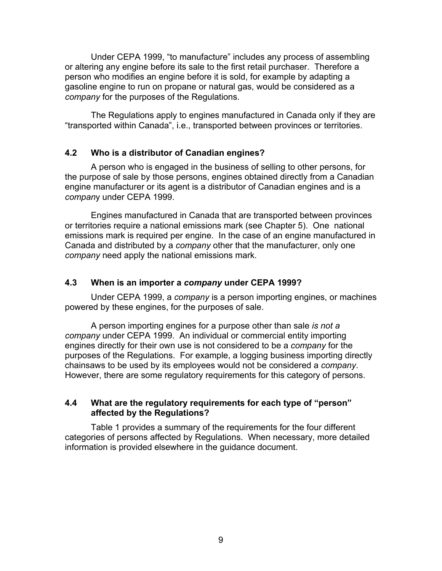Under CEPA 1999, "to manufacture" includes any process of assembling or altering any engine before its sale to the first retail purchaser. Therefore a person who modifies an engine before it is sold, for example by adapting a gasoline engine to run on propane or natural gas, would be considered as a *company* for the purposes of the Regulations.

The Regulations apply to engines manufactured in Canada only if they are "transported within Canada", i.e., transported between provinces or territories.

#### **4.2 Who is a distributor of Canadian engines?**

A person who is engaged in the business of selling to other persons, for the purpose of sale by those persons, engines obtained directly from a Canadian engine manufacturer or its agent is a distributor of Canadian engines and is a *compan*y under CEPA 1999.

Engines manufactured in Canada that are transported between provinces or territories require a national emissions mark (see Chapter 5). One national emissions mark is required per engine. In the case of an engine manufactured in Canada and distributed by a *company* other that the manufacturer, only one *company* need apply the national emissions mark.

#### **4.3 When is an importer a** *company* **under CEPA 1999?**

Under CEPA 1999, a *company* is a person importing engines, or machines powered by these engines, for the purposes of sale.

A person importing engines for a purpose other than sale *is not a company* under CEPA 1999. An individual or commercial entity importing engines directly for their own use is not considered to be a *company* for the purposes of the Regulations. For example, a logging business importing directly chainsaws to be used by its employees would not be considered a *company*. However, there are some regulatory requirements for this category of persons.

#### **4.4 What are the regulatory requirements for each type of "person" affected by the Regulations?**

Table 1 provides a summary of the requirements for the four different categories of persons affected by Regulations. When necessary, more detailed information is provided elsewhere in the guidance document.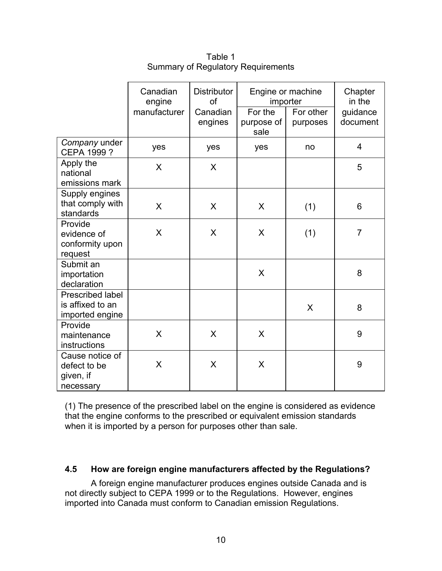|                                                                | Canadian<br>engine<br>manufacturer | <b>Distributor</b><br>of<br>Canadian<br>engines | Engine or machine<br>importer<br>For the<br>purpose of<br>sale | For other<br>purposes | Chapter<br>in the<br>guidance<br>document |
|----------------------------------------------------------------|------------------------------------|-------------------------------------------------|----------------------------------------------------------------|-----------------------|-------------------------------------------|
| Company under<br><b>CEPA 1999?</b>                             | yes                                | yes                                             | yes                                                            | no                    | $\overline{4}$                            |
| Apply the<br>national<br>emissions mark                        | X                                  | X                                               |                                                                |                       | 5                                         |
| Supply engines<br>that comply with<br>standards                | X                                  | X                                               | X                                                              | (1)                   | 6                                         |
| Provide<br>evidence of<br>conformity upon<br>request           | X                                  | X                                               | X                                                              | (1)                   | $\overline{7}$                            |
| Submit an<br>importation<br>declaration                        |                                    |                                                 | X                                                              |                       | 8                                         |
| <b>Prescribed label</b><br>is affixed to an<br>imported engine |                                    |                                                 |                                                                | X                     | 8                                         |
| Provide<br>maintenance<br>instructions                         | X                                  | X                                               | X                                                              |                       | 9                                         |
| Cause notice of<br>defect to be<br>given, if<br>necessary      | X                                  | X                                               | X                                                              |                       | 9                                         |

Table 1 Summary of Regulatory Requirements

(1) The presence of the prescribed label on the engine is considered as evidence that the engine conforms to the prescribed or equivalent emission standards when it is imported by a person for purposes other than sale.

#### **4.5 How are foreign engine manufacturers affected by the Regulations?**

A foreign engine manufacturer produces engines outside Canada and is not directly subject to CEPA 1999 or to the Regulations. However, engines imported into Canada must conform to Canadian emission Regulations.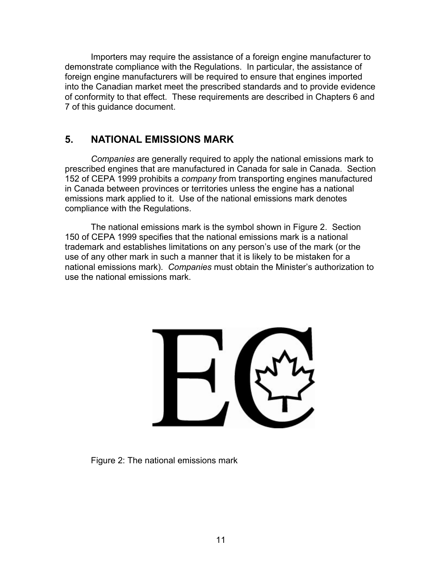Importers may require the assistance of a foreign engine manufacturer to demonstrate compliance with the Regulations. In particular, the assistance of foreign engine manufacturers will be required to ensure that engines imported into the Canadian market meet the prescribed standards and to provide evidence of conformity to that effect. These requirements are described in Chapters 6 and 7 of this guidance document.

## **5. NATIONAL EMISSIONS MARK**

*Companies* are generally required to apply the national emissions mark to prescribed engines that are manufactured in Canada for sale in Canada. Section 152 of CEPA 1999 prohibits a *company* from transporting engines manufactured in Canada between provinces or territories unless the engine has a national emissions mark applied to it. Use of the national emissions mark denotes compliance with the Regulations.

The national emissions mark is the symbol shown in Figure 2. Section 150 of CEPA 1999 specifies that the national emissions mark is a national trademark and establishes limitations on any person's use of the mark (or the use of any other mark in such a manner that it is likely to be mistaken for a national emissions mark). *Companies* must obtain the Minister's authorization to use the national emissions mark.

Figure 2: The national emissions mark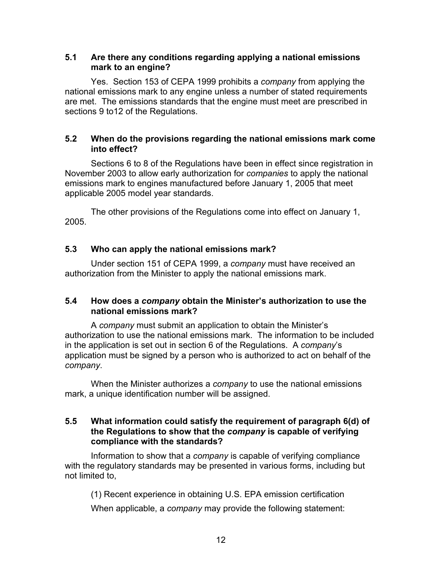## **5.1 Are there any conditions regarding applying a national emissions mark to an engine?**

Yes. Section 153 of CEPA 1999 prohibits a *company* from applying the national emissions mark to any engine unless a number of stated requirements are met. The emissions standards that the engine must meet are prescribed in sections 9 to12 of the Regulations.

## **5.2 When do the provisions regarding the national emissions mark come into effect?**

Sections 6 to 8 of the Regulations have been in effect since registration in November 2003 to allow early authorization for *companies* to apply the national emissions mark to engines manufactured before January 1, 2005 that meet applicable 2005 model year standards.

The other provisions of the Regulations come into effect on January 1, 2005.

## **5.3 Who can apply the national emissions mark?**

Under section 151 of CEPA 1999, a *company* must have received an authorization from the Minister to apply the national emissions mark.

## **5.4 How does a** *company* **obtain the Minister's authorization to use the national emissions mark?**

A *company* must submit an application to obtain the Minister's authorization to use the national emissions mark. The information to be included in the application is set out in section 6 of the Regulations. A *company*'s application must be signed by a person who is authorized to act on behalf of the *company*.

When the Minister authorizes a *company* to use the national emissions mark, a unique identification number will be assigned.

## **5.5 What information could satisfy the requirement of paragraph 6(d) of the Regulations to show that the** *company* **is capable of verifying compliance with the standards?**

Information to show that a *company* is capable of verifying compliance with the regulatory standards may be presented in various forms, including but not limited to,

(1) Recent experience in obtaining U.S. EPA emission certification

When applicable, a *company* may provide the following statement: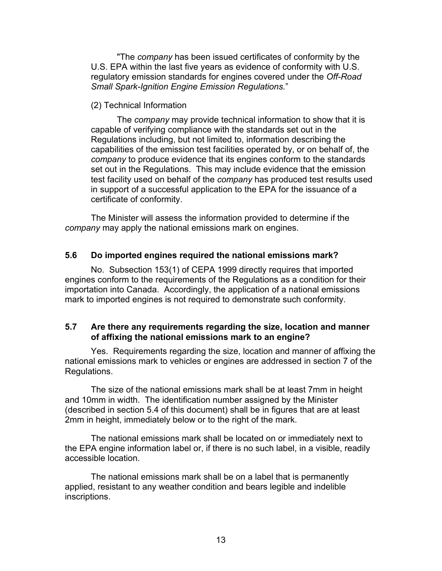"The *company* has been issued certificates of conformity by the U.S. EPA within the last five years as evidence of conformity with U.S. regulatory emission standards for engines covered under the *Off-Road Small Spark-Ignition Engine Emission Regulations.*"

#### (2) Technical Information

The *company* may provide technical information to show that it is capable of verifying compliance with the standards set out in the Regulations including, but not limited to, information describing the capabilities of the emission test facilities operated by, or on behalf of, the *company* to produce evidence that its engines conform to the standards set out in the Regulations. This may include evidence that the emission test facility used on behalf of the *company* has produced test results used in support of a successful application to the EPA for the issuance of a certificate of conformity.

The Minister will assess the information provided to determine if the *company* may apply the national emissions mark on engines.

#### **5.6 Do imported engines required the national emissions mark?**

No. Subsection 153(1) of CEPA 1999 directly requires that imported engines conform to the requirements of the Regulations as a condition for their importation into Canada. Accordingly, the application of a national emissions mark to imported engines is not required to demonstrate such conformity.

## **5.7 Are there any requirements regarding the size, location and manner of affixing the national emissions mark to an engine?**

Yes. Requirements regarding the size, location and manner of affixing the national emissions mark to vehicles or engines are addressed in section 7 of the Regulations.

The size of the national emissions mark shall be at least 7mm in height and 10mm in width. The identification number assigned by the Minister (described in section 5.4 of this document) shall be in figures that are at least 2mm in height, immediately below or to the right of the mark.

The national emissions mark shall be located on or immediately next to the EPA engine information label or, if there is no such label, in a visible, readily accessible location.

The national emissions mark shall be on a label that is permanently applied, resistant to any weather condition and bears legible and indelible inscriptions.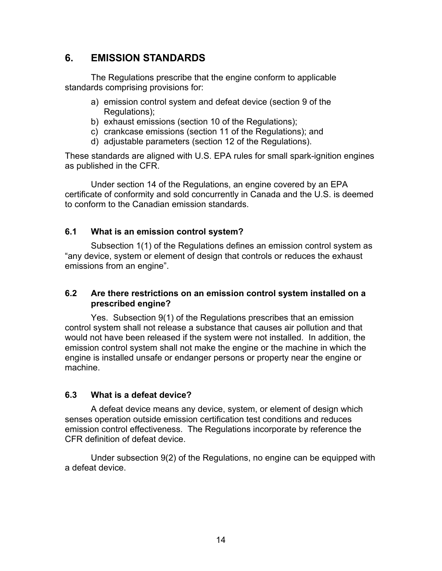## **6. EMISSION STANDARDS**

The Regulations prescribe that the engine conform to applicable standards comprising provisions for:

- a) emission control system and defeat device (section 9 of the Regulations);
- b) exhaust emissions (section 10 of the Regulations);
- c) crankcase emissions (section 11 of the Regulations); and
- d) adjustable parameters (section 12 of the Regulations).

These standards are aligned with U.S. EPA rules for small spark-ignition engines as published in the CFR.

Under section 14 of the Regulations, an engine covered by an EPA certificate of conformity and sold concurrently in Canada and the U.S. is deemed to conform to the Canadian emission standards.

## **6.1 What is an emission control system?**

Subsection 1(1) of the Regulations defines an emission control system as "any device, system or element of design that controls or reduces the exhaust emissions from an engine".

## **6.2 Are there restrictions on an emission control system installed on a prescribed engine?**

Yes. Subsection 9(1) of the Regulations prescribes that an emission control system shall not release a substance that causes air pollution and that would not have been released if the system were not installed. In addition, the emission control system shall not make the engine or the machine in which the engine is installed unsafe or endanger persons or property near the engine or machine.

## **6.3 What is a defeat device?**

A defeat device means any device, system, or element of design which senses operation outside emission certification test conditions and reduces emission control effectiveness. The Regulations incorporate by reference the CFR definition of defeat device.

Under subsection 9(2) of the Regulations, no engine can be equipped with a defeat device.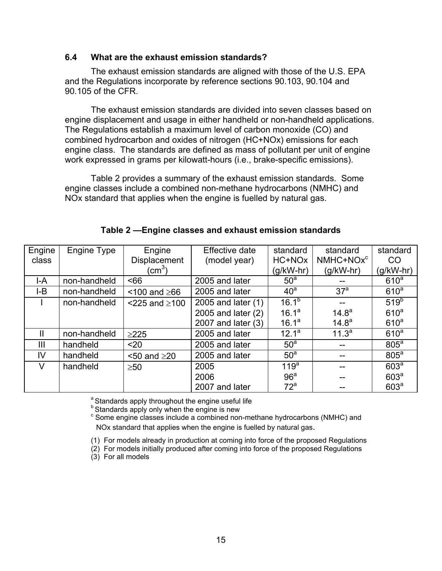#### **6.4 What are the exhaust emission standards?**

The exhaust emission standards are aligned with those of the U.S. EPA and the Regulations incorporate by reference sections 90.103, 90.104 and 90.105 of the CFR.

The exhaust emission standards are divided into seven classes based on engine displacement and usage in either handheld or non-handheld applications. The Regulations establish a maximum level of carbon monoxide (CO) and combined hydrocarbon and oxides of nitrogen (HC+NOx) emissions for each engine class. The standards are defined as mass of pollutant per unit of engine work expressed in grams per kilowatt-hours (i.e., brake-specific emissions).

Table 2 provides a summary of the exhaust emission standards. Some engine classes include a combined non-methane hydrocarbons (NMHC) and NOx standard that applies when the engine is fuelled by natural gas.

| Engine         | Engine Type  | Engine                 | Effective date       | standard         | standard              | standard         |
|----------------|--------------|------------------------|----------------------|------------------|-----------------------|------------------|
| class          |              | <b>Displacement</b>    | (model year)         | HC+NOx           | NMHC+NOx <sup>c</sup> | CO               |
|                |              | (cm $^3$ )             |                      | $(g/kW-hr)$      | $(g/kW-hr)$           | (g/kW-hr)        |
| I-A            | non-handheld | ~56                    | 2005 and later       | 50 <sup>a</sup>  |                       | 610 <sup>a</sup> |
| $I-B$          | non-handheld | $100$ and $\geq 66$    | 2005 and later       | $40^{\circ}$     | 37 <sup>a</sup>       | 610 <sup>a</sup> |
|                | non-handheld | $<$ 225 and $\geq$ 100 | 2005 and later $(1)$ | $16.1^{b}$       |                       | 519 <sup>b</sup> |
|                |              |                        | 2005 and later (2)   | $16.1^a$         | $14.8^{\circ}$        | 610 <sup>a</sup> |
|                |              |                        | 2007 and later (3)   | $16.1^a$         | 14.8 <sup>a</sup>     | 610 <sup>a</sup> |
| $\mathsf{II}$  | non-handheld | $\geq$ 225             | 2005 and later       | $12.1^a$         | 11.3 <sup>a</sup>     | 610 <sup>a</sup> |
| $\mathbf{III}$ | handheld     | $20$                   | 2005 and later       | 50 <sup>a</sup>  |                       | 805 <sup>a</sup> |
| IV             | handheld     | $<$ 50 and $\geq$ 20   | 2005 and later       | 50 <sup>a</sup>  |                       | $805^a$          |
| $\vee$         | handheld     | $\geq 50$              | 2005                 | 119 <sup>a</sup> |                       | 603 <sup>a</sup> |
|                |              |                        | 2006                 | 96 <sup>a</sup>  |                       | 603 <sup>a</sup> |
|                |              |                        | 2007 and later       | $72^a$           |                       | 603 <sup>a</sup> |

**Table 2 —Engine classes and exhaust emission standards** 

<sup>a</sup> Standards apply throughout the engine useful life

 $<sup>b</sup>$  Standards apply only when the engine is new</sup>

<sup>c</sup> Some engine classes include a combined non-methane hydrocarbons (NMHC) and NOx standard that applies when the engine is fuelled by natural gas.

(1) For models already in production at coming into force of the proposed Regulations

(2) For models initially produced after coming into force of the proposed Regulations

(3) For all models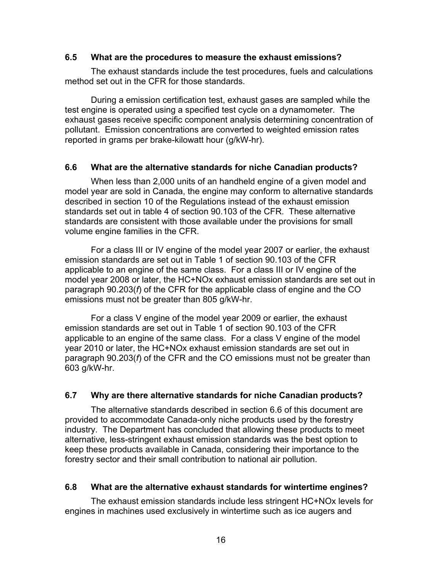#### **6.5 What are the procedures to measure the exhaust emissions?**

The exhaust standards include the test procedures, fuels and calculations method set out in the CFR for those standards.

During a emission certification test, exhaust gases are sampled while the test engine is operated using a specified test cycle on a dynamometer. The exhaust gases receive specific component analysis determining concentration of pollutant. Emission concentrations are converted to weighted emission rates reported in grams per brake-kilowatt hour (g/kW-hr).

#### **6.6 What are the alternative standards for niche Canadian products?**

When less than 2,000 units of an handheld engine of a given model and model year are sold in Canada, the engine may conform to alternative standards described in section 10 of the Regulations instead of the exhaust emission standards set out in table 4 of section 90.103 of the CFR. These alternative standards are consistent with those available under the provisions for small volume engine families in the CFR.

For a class III or IV engine of the model year 2007 or earlier, the exhaust emission standards are set out in Table 1 of section 90.103 of the CFR applicable to an engine of the same class. For a class III or IV engine of the model year 2008 or later, the HC+NOx exhaust emission standards are set out in paragraph 90.203(*f*) of the CFR for the applicable class of engine and the CO emissions must not be greater than 805 g/kW-hr.

For a class V engine of the model year 2009 or earlier, the exhaust emission standards are set out in Table 1 of section 90.103 of the CFR applicable to an engine of the same class. For a class V engine of the model year 2010 or later, the HC+NOx exhaust emission standards are set out in paragraph 90.203(*f*) of the CFR and the CO emissions must not be greater than 603 g/kW-hr.

## **6.7 Why are there alternative standards for niche Canadian products?**

The alternative standards described in section 6.6 of this document are provided to accommodate Canada-only niche products used by the forestry industry. The Department has concluded that allowing these products to meet alternative, less-stringent exhaust emission standards was the best option to keep these products available in Canada, considering their importance to the forestry sector and their small contribution to national air pollution.

#### **6.8 What are the alternative exhaust standards for wintertime engines?**

The exhaust emission standards include less stringent HC+NOx levels for engines in machines used exclusively in wintertime such as ice augers and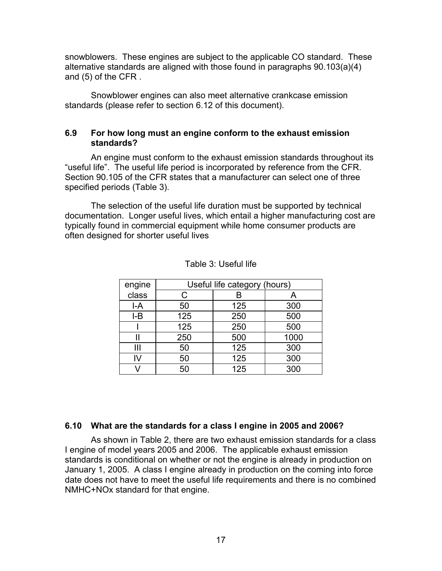snowblowers. These engines are subject to the applicable CO standard. These alternative standards are aligned with those found in paragraphs 90.103(a)(4) and (5) of the CFR .

Snowblower engines can also meet alternative crankcase emission standards (please refer to section 6.12 of this document).

## **6.9 For how long must an engine conform to the exhaust emission standards?**

An engine must conform to the exhaust emission standards throughout its "useful life". The useful life period is incorporated by reference from the CFR. Section 90.105 of the CFR states that a manufacturer can select one of three specified periods (Table 3).

The selection of the useful life duration must be supported by technical documentation. Longer useful lives, which entail a higher manufacturing cost are typically found in commercial equipment while home consumer products are often designed for shorter useful lives

| engine |     | Useful life category (hours) |      |
|--------|-----|------------------------------|------|
| class  | С   | В                            | A    |
| $I-A$  | 50  | 125                          | 300  |
| $I-B$  | 125 | 250                          | 500  |
|        | 125 | 250                          | 500  |
|        | 250 | 500                          | 1000 |
| Ш      | 50  | 125                          | 300  |
| I٧     | 50  | 125                          | 300  |
|        | 50  | 125                          | 300  |

| Table 3: Useful life |  |  |  |  |
|----------------------|--|--|--|--|
|----------------------|--|--|--|--|

#### **6.10 What are the standards for a class I engine in 2005 and 2006?**

As shown in Table 2, there are two exhaust emission standards for a class I engine of model years 2005 and 2006. The applicable exhaust emission standards is conditional on whether or not the engine is already in production on January 1, 2005. A class I engine already in production on the coming into force date does not have to meet the useful life requirements and there is no combined NMHC+NOx standard for that engine.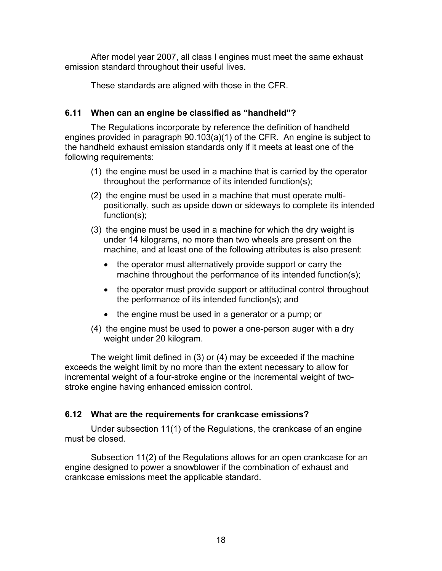After model year 2007, all class I engines must meet the same exhaust emission standard throughout their useful lives.

These standards are aligned with those in the CFR.

## **6.11 When can an engine be classified as "handheld"?**

The Regulations incorporate by reference the definition of handheld engines provided in paragraph 90.103(a)(1) of the CFR. An engine is subject to the handheld exhaust emission standards only if it meets at least one of the following requirements:

- (1) the engine must be used in a machine that is carried by the operator throughout the performance of its intended function(s);
- (2) the engine must be used in a machine that must operate multipositionally, such as upside down or sideways to complete its intended function(s);
- (3) the engine must be used in a machine for which the dry weight is under 14 kilograms, no more than two wheels are present on the machine, and at least one of the following attributes is also present:
	- the operator must alternatively provide support or carry the machine throughout the performance of its intended function(s);
	- the operator must provide support or attitudinal control throughout the performance of its intended function(s); and
	- the engine must be used in a generator or a pump; or
- (4) the engine must be used to power a one-person auger with a dry weight under 20 kilogram.

The weight limit defined in (3) or (4) may be exceeded if the machine exceeds the weight limit by no more than the extent necessary to allow for incremental weight of a four-stroke engine or the incremental weight of twostroke engine having enhanced emission control.

#### **6.12 What are the requirements for crankcase emissions?**

Under subsection 11(1) of the Regulations, the crankcase of an engine must be closed.

Subsection 11(2) of the Regulations allows for an open crankcase for an engine designed to power a snowblower if the combination of exhaust and crankcase emissions meet the applicable standard.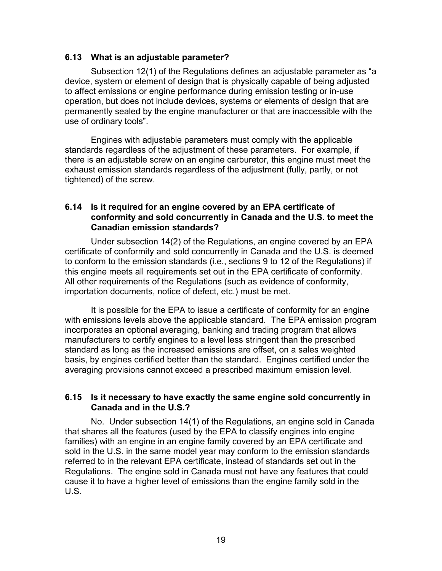#### **6.13 What is an adjustable parameter?**

Subsection 12(1) of the Regulations defines an adjustable parameter as "a device, system or element of design that is physically capable of being adjusted to affect emissions or engine performance during emission testing or in-use operation, but does not include devices, systems or elements of design that are permanently sealed by the engine manufacturer or that are inaccessible with the use of ordinary tools".

Engines with adjustable parameters must comply with the applicable standards regardless of the adjustment of these parameters. For example, if there is an adjustable screw on an engine carburetor, this engine must meet the exhaust emission standards regardless of the adjustment (fully, partly, or not tightened) of the screw.

#### **6.14 Is it required for an engine covered by an EPA certificate of conformity and sold concurrently in Canada and the U.S. to meet the Canadian emission standards?**

Under subsection 14(2) of the Regulations, an engine covered by an EPA certificate of conformity and sold concurrently in Canada and the U.S. is deemed to conform to the emission standards (i.e., sections 9 to 12 of the Regulations) if this engine meets all requirements set out in the EPA certificate of conformity. All other requirements of the Regulations (such as evidence of conformity, importation documents, notice of defect, etc.) must be met.

It is possible for the EPA to issue a certificate of conformity for an engine with emissions levels above the applicable standard. The EPA emission program incorporates an optional averaging, banking and trading program that allows manufacturers to certify engines to a level less stringent than the prescribed standard as long as the increased emissions are offset, on a sales weighted basis, by engines certified better than the standard. Engines certified under the averaging provisions cannot exceed a prescribed maximum emission level.

#### **6.15 Is it necessary to have exactly the same engine sold concurrently in Canada and in the U.S.?**

No. Under subsection 14(1) of the Regulations, an engine sold in Canada that shares all the features (used by the EPA to classify engines into engine families) with an engine in an engine family covered by an EPA certificate and sold in the U.S. in the same model year may conform to the emission standards referred to in the relevant EPA certificate, instead of standards set out in the Regulations. The engine sold in Canada must not have any features that could cause it to have a higher level of emissions than the engine family sold in the U.S.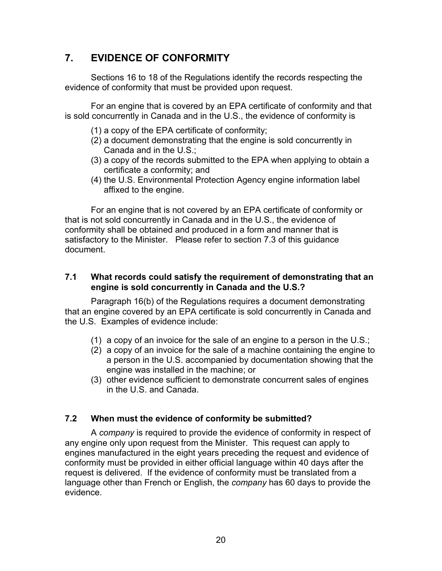## **7. EVIDENCE OF CONFORMITY**

Sections 16 to 18 of the Regulations identify the records respecting the evidence of conformity that must be provided upon request.

For an engine that is covered by an EPA certificate of conformity and that is sold concurrently in Canada and in the U.S., the evidence of conformity is

- (1) a copy of the EPA certificate of conformity;
- (2) a document demonstrating that the engine is sold concurrently in Canada and in the U.S.;
- (3) a copy of the records submitted to the EPA when applying to obtain a certificate a conformity; and
- (4) the U.S. Environmental Protection Agency engine information label affixed to the engine.

For an engine that is not covered by an EPA certificate of conformity or that is not sold concurrently in Canada and in the U.S., the evidence of conformity shall be obtained and produced in a form and manner that is satisfactory to the Minister. Please refer to section 7.3 of this guidance document.

## **7.1 What records could satisfy the requirement of demonstrating that an engine is sold concurrently in Canada and the U.S.?**

Paragraph 16(b) of the Regulations requires a document demonstrating that an engine covered by an EPA certificate is sold concurrently in Canada and the U.S. Examples of evidence include:

- (1) a copy of an invoice for the sale of an engine to a person in the U.S.;
- (2) a copy of an invoice for the sale of a machine containing the engine to a person in the U.S. accompanied by documentation showing that the engine was installed in the machine; or
- (3) other evidence sufficient to demonstrate concurrent sales of engines in the U.S. and Canada.

## **7.2 When must the evidence of conformity be submitted?**

A *company* is required to provide the evidence of conformity in respect of any engine only upon request from the Minister. This request can apply to engines manufactured in the eight years preceding the request and evidence of conformity must be provided in either official language within 40 days after the request is delivered. If the evidence of conformity must be translated from a language other than French or English, the *company* has 60 days to provide the evidence.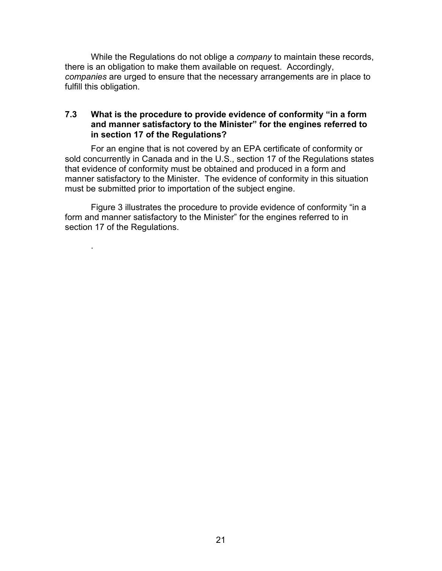While the Regulations do not oblige a *company* to maintain these records, there is an obligation to make them available on request. Accordingly, *companies* are urged to ensure that the necessary arrangements are in place to fulfill this obligation.

### **7.3 What is the procedure to provide evidence of conformity "in a form and manner satisfactory to the Minister" for the engines referred to in section 17 of the Regulations?**

For an engine that is not covered by an EPA certificate of conformity or sold concurrently in Canada and in the U.S., section 17 of the Regulations states that evidence of conformity must be obtained and produced in a form and manner satisfactory to the Minister. The evidence of conformity in this situation must be submitted prior to importation of the subject engine.

Figure 3 illustrates the procedure to provide evidence of conformity "in a form and manner satisfactory to the Minister" for the engines referred to in section 17 of the Regulations.

.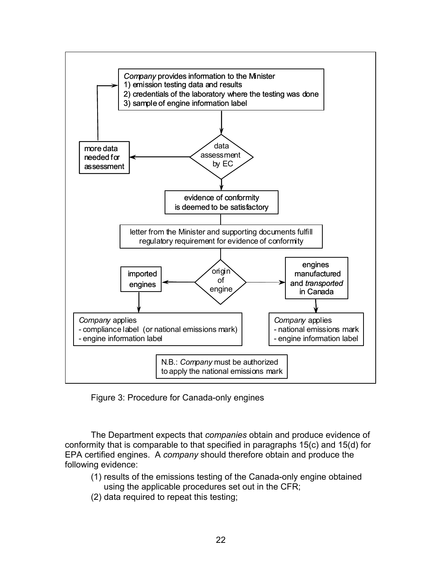

Figure 3: Procedure for Canada-only engines

The Department expects that *companies* obtain and produce evidence of conformity that is comparable to that specified in paragraphs 15(c) and 15(d) for EPA certified engines. A *company* should therefore obtain and produce the following evidence:

- (1) results of the emissions testing of the Canada-only engine obtained using the applicable procedures set out in the CFR;
- (2) data required to repeat this testing;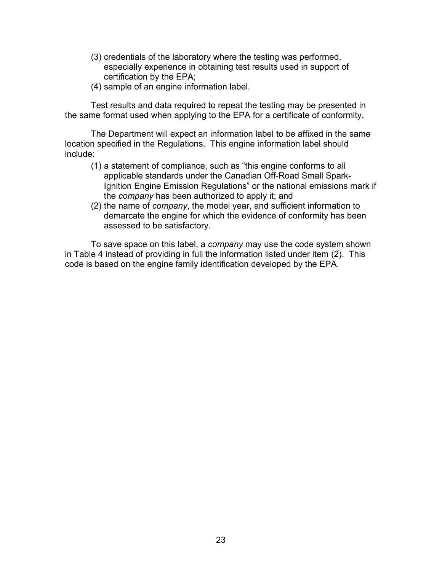- (3) credentials of the laboratory where the testing was performed, especially experience in obtaining test results used in support of certification by the EPA;
- (4) sample of an engine information label.

Test results and data required to repeat the testing may be presented in the same format used when applying to the EPA for a certificate of conformity.

The Department will expect an information label to be affixed in the same location specified in the Regulations. This engine information label should include:

- (1) a statement of compliance, such as "this engine conforms to all applicable standards under the Canadian Off-Road Small Spark-Ignition Engine Emission Regulations" or the national emissions mark if the *company* has been authorized to apply it; and
- (2) the name of *company*, the model year, and sufficient information to demarcate the engine for which the evidence of conformity has been assessed to be satisfactory.

To save space on this label, a *company* may use the code system shown in Table 4 instead of providing in full the information listed under item (2). This code is based on the engine family identification developed by the EPA.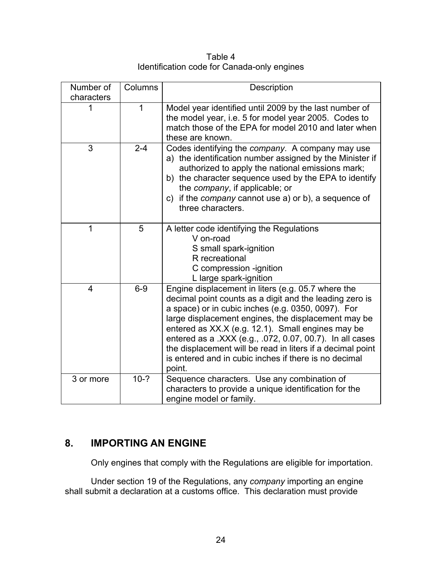Table 4 Identification code for Canada-only engines

| Number of  | Columns | Description                                                                                                                                                                                                                                                                                                                                                                                                                                                                  |
|------------|---------|------------------------------------------------------------------------------------------------------------------------------------------------------------------------------------------------------------------------------------------------------------------------------------------------------------------------------------------------------------------------------------------------------------------------------------------------------------------------------|
| characters |         |                                                                                                                                                                                                                                                                                                                                                                                                                                                                              |
| 1          | 1       | Model year identified until 2009 by the last number of<br>the model year, i.e. 5 for model year 2005. Codes to<br>match those of the EPA for model 2010 and later when<br>these are known.                                                                                                                                                                                                                                                                                   |
| 3          | $2 - 4$ | Codes identifying the company. A company may use<br>a) the identification number assigned by the Minister if<br>authorized to apply the national emissions mark;<br>b) the character sequence used by the EPA to identify<br>the company, if applicable; or<br>c) if the <i>company</i> cannot use a) or b), a sequence of<br>three characters.                                                                                                                              |
| 1          | 5       | A letter code identifying the Regulations<br>V on-road<br>S small spark-ignition<br>R recreational<br>C compression -ignition<br>L large spark-ignition                                                                                                                                                                                                                                                                                                                      |
| 4          | $6-9$   | Engine displacement in liters (e.g. 05.7 where the<br>decimal point counts as a digit and the leading zero is<br>a space) or in cubic inches (e.g. 0350, 0097). For<br>large displacement engines, the displacement may be<br>entered as XX.X (e.g. 12.1). Small engines may be<br>entered as a .XXX (e.g., .072, 0.07, 00.7). In all cases<br>the displacement will be read in liters if a decimal point<br>is entered and in cubic inches if there is no decimal<br>point. |
| 3 or more  | $10-?$  | Sequence characters. Use any combination of<br>characters to provide a unique identification for the<br>engine model or family.                                                                                                                                                                                                                                                                                                                                              |

## **8. IMPORTING AN ENGINE**

Only engines that comply with the Regulations are eligible for importation.

Under section 19 of the Regulations, any *company* importing an engine shall submit a declaration at a customs office. This declaration must provide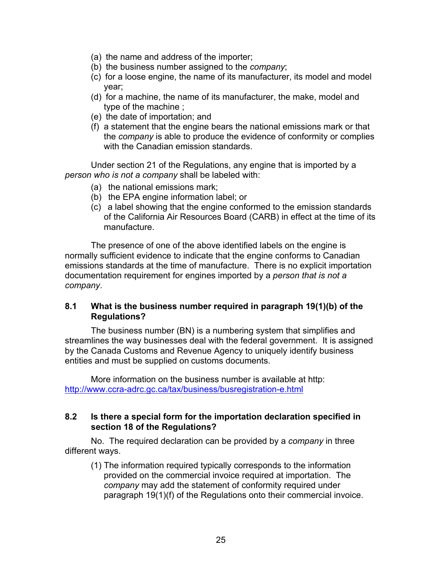- (a) the name and address of the importer;
- (b) the business number assigned to the *company*;
- (c) for a loose engine, the name of its manufacturer, its model and model year;
- (d) for a machine, the name of its manufacturer, the make, model and type of the machine ;
- (e) the date of importation; and
- (f) a statement that the engine bears the national emissions mark or that the *company* is able to produce the evidence of conformity or complies with the Canadian emission standards.

Under section 21 of the Regulations, any engine that is imported by a *person who is not a company* shall be labeled with:

- (a) the national emissions mark;
- (b) the EPA engine information label; or
- (c) a label showing that the engine conformed to the emission standards of the California Air Resources Board (CARB) in effect at the time of its manufacture.

The presence of one of the above identified labels on the engine is normally sufficient evidence to indicate that the engine conforms to Canadian emissions standards at the time of manufacture. There is no explicit importation documentation requirement for engines imported by a *person that is not a company*.

## **8.1 What is the business number required in paragraph 19(1)(b) of the Regulations?**

The business number (BN) is a numbering system that simplifies and streamlines the way businesses deal with the federal government. It is assigned by the Canada Customs and Revenue Agency to uniquely identify business entities and must be supplied on customs documents.

More information on the business number is available at http: http://www.ccra-adrc.gc.ca/tax/business/busregistration-e.html

## **8.2 Is there a special form for the importation declaration specified in section 18 of the Regulations?**

No. The required declaration can be provided by a *company* in three different ways.

(1) The information required typically corresponds to the information provided on the commercial invoice required at importation. The *company* may add the statement of conformity required under paragraph 19(1)(f) of the Regulations onto their commercial invoice.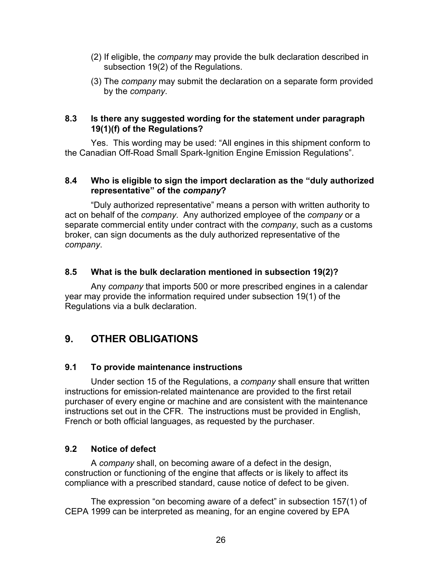- (2) If eligible, the *company* may provide the bulk declaration described in subsection 19(2) of the Regulations.
- (3) The *company* may submit the declaration on a separate form provided by the *company*.

### **8.3 Is there any suggested wording for the statement under paragraph 19(1)(f) of the Regulations?**

Yes. This wording may be used: "All engines in this shipment conform to the Canadian Off-Road Small Spark-Ignition Engine Emission Regulations".

## **8.4 Who is eligible to sign the import declaration as the "duly authorized representative" of the** *company***?**

"Duly authorized representative" means a person with written authority to act on behalf of the *company*. Any authorized employee of the *company* or a separate commercial entity under contract with the *company*, such as a customs broker, can sign documents as the duly authorized representative of the *company*.

## **8.5 What is the bulk declaration mentioned in subsection 19(2)?**

Any *company* that imports 500 or more prescribed engines in a calendar year may provide the information required under subsection 19(1) of the Regulations via a bulk declaration.

## **9. OTHER OBLIGATIONS**

## **9.1 To provide maintenance instructions**

Under section 15 of the Regulations, a *company* shall ensure that written instructions for emission-related maintenance are provided to the first retail purchaser of every engine or machine and are consistent with the maintenance instructions set out in the CFR. The instructions must be provided in English, French or both official languages, as requested by the purchaser.

## **9.2 Notice of defect**

A *company* shall, on becoming aware of a defect in the design, construction or functioning of the engine that affects or is likely to affect its compliance with a prescribed standard, cause notice of defect to be given.

The expression "on becoming aware of a defect" in subsection 157(1) of CEPA 1999 can be interpreted as meaning, for an engine covered by EPA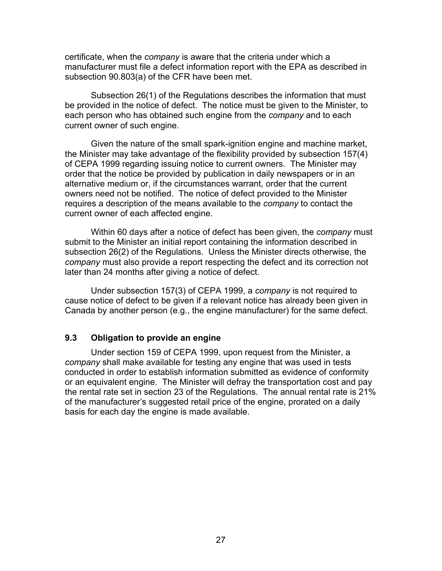certificate, when the *company* is aware that the criteria under which a manufacturer must file a defect information report with the EPA as described in subsection 90.803(a) of the CFR have been met.

Subsection 26(1) of the Regulations describes the information that must be provided in the notice of defect. The notice must be given to the Minister, to each person who has obtained such engine from the *company* and to each current owner of such engine.

Given the nature of the small spark-ignition engine and machine market, the Minister may take advantage of the flexibility provided by subsection 157(4) of CEPA 1999 regarding issuing notice to current owners. The Minister may order that the notice be provided by publication in daily newspapers or in an alternative medium or, if the circumstances warrant, order that the current owners need not be notified. The notice of defect provided to the Minister requires a description of the means available to the *company* to contact the current owner of each affected engine.

Within 60 days after a notice of defect has been given, the *company* must submit to the Minister an initial report containing the information described in subsection 26(2) of the Regulations. Unless the Minister directs otherwise, the *company* must also provide a report respecting the defect and its correction not later than 24 months after giving a notice of defect.

Under subsection 157(3) of CEPA 1999, a *company* is not required to cause notice of defect to be given if a relevant notice has already been given in Canada by another person (e.g., the engine manufacturer) for the same defect.

## **9.3 Obligation to provide an engine**

Under section 159 of CEPA 1999, upon request from the Minister, a *company* shall make available for testing any engine that was used in tests conducted in order to establish information submitted as evidence of conformity or an equivalent engine. The Minister will defray the transportation cost and pay the rental rate set in section 23 of the Regulations. The annual rental rate is 21% of the manufacturer's suggested retail price of the engine, prorated on a daily basis for each day the engine is made available.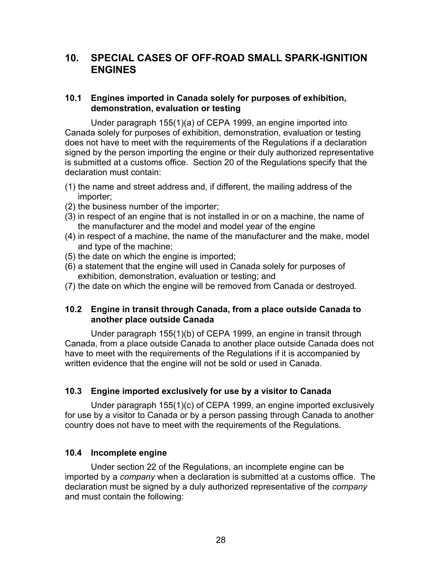## **10. SPECIAL CASES OF OFF-ROAD SMALL SPARK-IGNITION ENGINES**

## **10.1 Engines imported in Canada solely for purposes of exhibition, demonstration, evaluation or testing**

Under paragraph 155(1)(a) of CEPA 1999, an engine imported into Canada solely for purposes of exhibition, demonstration, evaluation or testing does not have to meet with the requirements of the Regulations if a declaration signed by the person importing the engine or their duly authorized representative is submitted at a customs office. Section 20 of the Regulations specify that the declaration must contain:

- (1) the name and street address and, if different, the mailing address of the importer;
- (2) the business number of the importer;
- (3) in respect of an engine that is not installed in or on a machine, the name of the manufacturer and the model and model year of the engine
- (4) in respect of a machine, the name of the manufacturer and the make, model and type of the machine;
- (5) the date on which the engine is imported;
- (6) a statement that the engine will used in Canada solely for purposes of exhibition, demonstration, evaluation or testing; and
- (7) the date on which the engine will be removed from Canada or destroyed.

#### **10.2 Engine in transit through Canada, from a place outside Canada to another place outside Canada**

Under paragraph 155(1)(b) of CEPA 1999, an engine in transit through Canada, from a place outside Canada to another place outside Canada does not have to meet with the requirements of the Regulations if it is accompanied by written evidence that the engine will not be sold or used in Canada.

#### **10.3 Engine imported exclusively for use by a visitor to Canada**

Under paragraph 155(1)(c) of CEPA 1999, an engine imported exclusively for use by a visitor to Canada or by a person passing through Canada to another country does not have to meet with the requirements of the Regulations.

#### **10.4 Incomplete engine**

Under section 22 of the Regulations, an incomplete engine can be imported by a *company* when a declaration is submitted at a customs office. The declaration must be signed by a duly authorized representative of the *company* and must contain the following: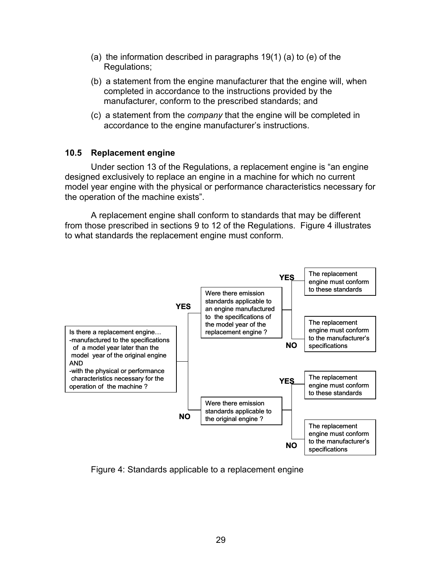- (a) the information described in paragraphs 19(1) (a) to (e) of the Regulations;
- (b) a statement from the engine manufacturer that the engine will, when completed in accordance to the instructions provided by the manufacturer, conform to the prescribed standards; and
- (c) a statement from the *company* that the engine will be completed in accordance to the engine manufacturer's instructions.

#### **10.5 Replacement engine**

Under section 13 of the Regulations, a replacement engine is "an engine designed exclusively to replace an engine in a machine for which no current model year engine with the physical or performance characteristics necessary for the operation of the machine exists".

A replacement engine shall conform to standards that may be different from those prescribed in sections 9 to 12 of the Regulations. Figure 4 illustrates to what standards the replacement engine must conform.



Figure 4: Standards applicable to a replacement engine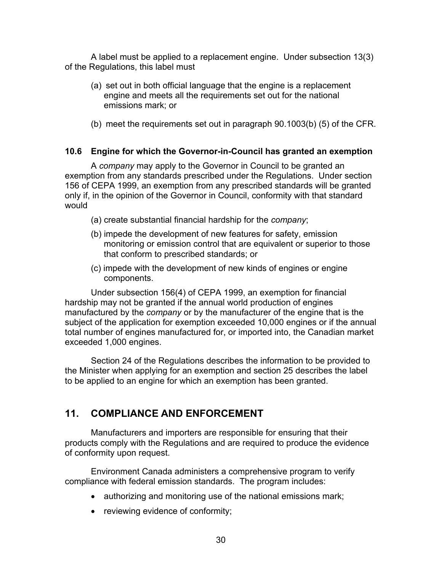A label must be applied to a replacement engine. Under subsection 13(3) of the Regulations, this label must

- (a) set out in both official language that the engine is a replacement engine and meets all the requirements set out for the national emissions mark; or
- (b) meet the requirements set out in paragraph 90.1003(b) (5) of the CFR.

## **10.6 Engine for which the Governor-in-Council has granted an exemption**

A *company* may apply to the Governor in Council to be granted an exemption from any standards prescribed under the Regulations. Under section 156 of CEPA 1999, an exemption from any prescribed standards will be granted only if, in the opinion of the Governor in Council, conformity with that standard would

- (a) create substantial financial hardship for the *company*;
- (b) impede the development of new features for safety, emission monitoring or emission control that are equivalent or superior to those that conform to prescribed standards; or
- (c) impede with the development of new kinds of engines or engine components.

Under subsection 156(4) of CEPA 1999, an exemption for financial hardship may not be granted if the annual world production of engines manufactured by the *company* or by the manufacturer of the engine that is the subject of the application for exemption exceeded 10,000 engines or if the annual total number of engines manufactured for, or imported into, the Canadian market exceeded 1,000 engines.

Section 24 of the Regulations describes the information to be provided to the Minister when applying for an exemption and section 25 describes the label to be applied to an engine for which an exemption has been granted.

## **11. COMPLIANCE AND ENFORCEMENT**

Manufacturers and importers are responsible for ensuring that their products comply with the Regulations and are required to produce the evidence of conformity upon request.

Environment Canada administers a comprehensive program to verify compliance with federal emission standards. The program includes:

- authorizing and monitoring use of the national emissions mark;
- reviewing evidence of conformity;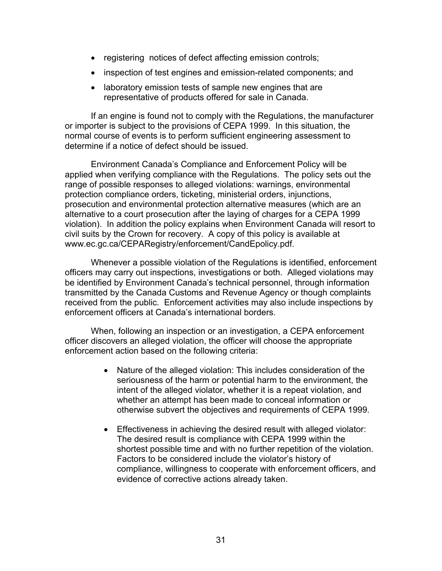- registering notices of defect affecting emission controls;
- inspection of test engines and emission-related components; and
- laboratory emission tests of sample new engines that are representative of products offered for sale in Canada.

If an engine is found not to comply with the Regulations, the manufacturer or importer is subject to the provisions of CEPA 1999. In this situation, the normal course of events is to perform sufficient engineering assessment to determine if a notice of defect should be issued.

Environment Canada's Compliance and Enforcement Policy will be applied when verifying compliance with the Regulations. The policy sets out the range of possible responses to alleged violations: warnings, environmental protection compliance orders, ticketing, ministerial orders, injunctions, prosecution and environmental protection alternative measures (which are an alternative to a court prosecution after the laying of charges for a CEPA 1999 violation). In addition the policy explains when Environment Canada will resort to civil suits by the Crown for recovery. A copy of this policy is available at www.ec.gc.ca/CEPARegistry/enforcement/CandEpolicy.pdf.

Whenever a possible violation of the Regulations is identified, enforcement officers may carry out inspections, investigations or both. Alleged violations may be identified by Environment Canada's technical personnel, through information transmitted by the Canada Customs and Revenue Agency or though complaints received from the public. Enforcement activities may also include inspections by enforcement officers at Canada's international borders.

When, following an inspection or an investigation, a CEPA enforcement officer discovers an alleged violation, the officer will choose the appropriate enforcement action based on the following criteria:

- Nature of the alleged violation: This includes consideration of the seriousness of the harm or potential harm to the environment, the intent of the alleged violator, whether it is a repeat violation, and whether an attempt has been made to conceal information or otherwise subvert the objectives and requirements of CEPA 1999.
- Effectiveness in achieving the desired result with alleged violator: The desired result is compliance with CEPA 1999 within the shortest possible time and with no further repetition of the violation. Factors to be considered include the violator's history of compliance, willingness to cooperate with enforcement officers, and evidence of corrective actions already taken.